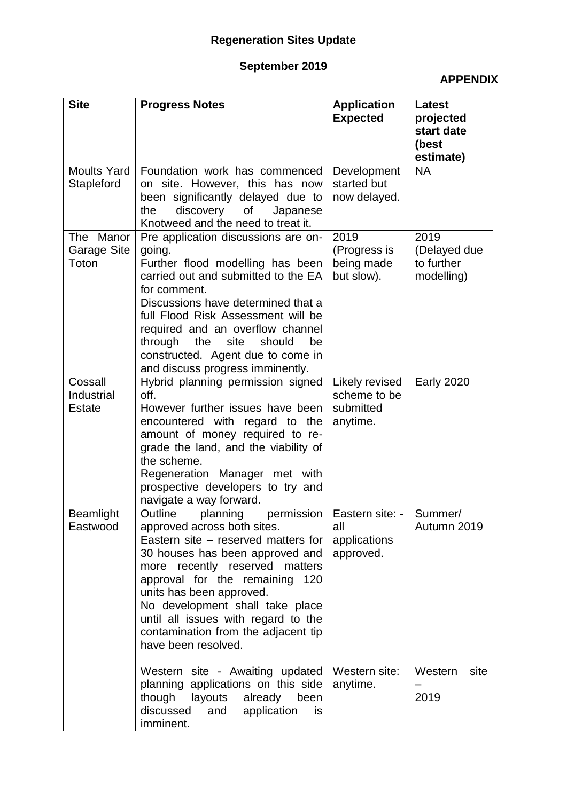### **September 2019**

### **APPENDIX**

| <b>Site</b>                            | <b>Progress Notes</b>                                                                                                                                                                                                                                                                                                                                                                 | <b>Application</b><br><b>Expected</b>                   | <b>Latest</b><br>projected<br>start date<br>(best<br>estimate) |
|----------------------------------------|---------------------------------------------------------------------------------------------------------------------------------------------------------------------------------------------------------------------------------------------------------------------------------------------------------------------------------------------------------------------------------------|---------------------------------------------------------|----------------------------------------------------------------|
| <b>Moults Yard</b><br>Stapleford       | Foundation work has commenced<br>on site. However, this has now<br>been significantly delayed due to<br>of<br>the<br>discovery<br>Japanese<br>Knotweed and the need to treat it.                                                                                                                                                                                                      | Development<br>started but<br>now delayed.              | <b>NA</b>                                                      |
| The Manor<br>Garage Site<br>Toton      | Pre application discussions are on-<br>going.<br>Further flood modelling has been<br>carried out and submitted to the EA<br>for comment.<br>Discussions have determined that a<br>full Flood Risk Assessment will be<br>required and an overflow channel<br>the<br>site<br>should<br>through<br>be<br>constructed. Agent due to come in<br>and discuss progress imminently.           | 2019<br>(Progress is<br>being made<br>but slow).        | 2019<br>(Delayed due<br>to further<br>modelling)               |
| Cossall<br>Industrial<br><b>Estate</b> | Hybrid planning permission signed<br>off.<br>However further issues have been<br>encountered with regard to the<br>amount of money required to re-<br>grade the land, and the viability of<br>the scheme.<br>Regeneration Manager met with<br>prospective developers to try and<br>navigate a way forward.                                                                            | Likely revised<br>scheme to be<br>submitted<br>anytime. | <b>Early 2020</b>                                              |
| <b>Beamlight</b><br>Eastwood           | Outline<br>planning<br>permission<br>approved across both sites.<br>Eastern site – reserved matters for<br>30 houses has been approved and<br>recently reserved matters<br>more<br>approval for the remaining 120<br>units has been approved.<br>No development shall take place<br>until all issues with regard to the<br>contamination from the adjacent tip<br>have been resolved. | Eastern site: -  <br>all<br>applications<br>approved.   | Summer/<br>Autumn 2019                                         |
|                                        | Western site - Awaiting updated<br>planning applications on this side<br>though<br>layouts<br>already<br>been<br>discussed<br>application<br>and<br>is<br>imminent.                                                                                                                                                                                                                   | Western site:<br>anytime.                               | Western<br>site<br>2019                                        |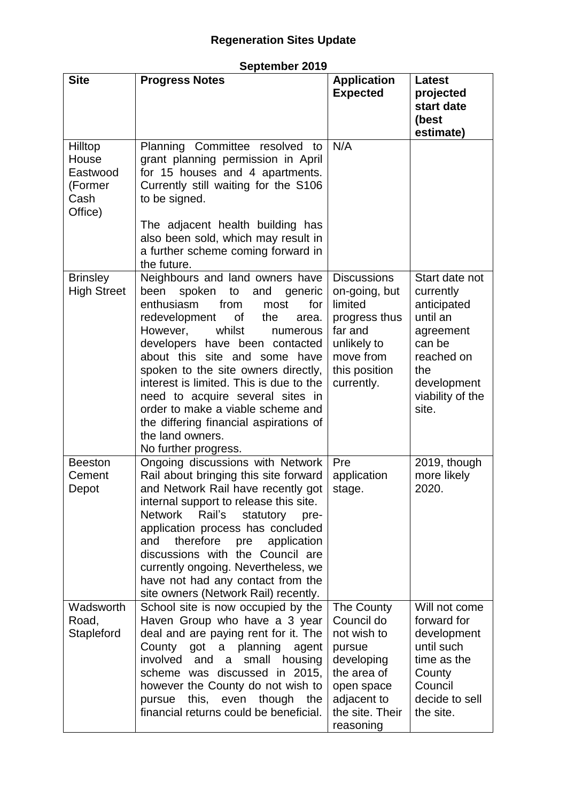| September 2019 |  |
|----------------|--|
|----------------|--|

| <b>Site</b>                                                | <b>Progress Notes</b>                                                                                                                                                                                                                                                                                                                                                                                                                                                                                          | <b>Application</b><br><b>Expected</b>                                                                                                       | <b>Latest</b><br>projected<br>start date<br>(best<br>estimate)                                                                                 |
|------------------------------------------------------------|----------------------------------------------------------------------------------------------------------------------------------------------------------------------------------------------------------------------------------------------------------------------------------------------------------------------------------------------------------------------------------------------------------------------------------------------------------------------------------------------------------------|---------------------------------------------------------------------------------------------------------------------------------------------|------------------------------------------------------------------------------------------------------------------------------------------------|
| Hilltop<br>House<br>Eastwood<br>(Former<br>Cash<br>Office) | Planning Committee resolved to<br>grant planning permission in April<br>for 15 houses and 4 apartments.<br>Currently still waiting for the S106<br>to be signed.<br>The adjacent health building has<br>also been sold, which may result in<br>a further scheme coming forward in<br>the future.                                                                                                                                                                                                               | N/A                                                                                                                                         |                                                                                                                                                |
| <b>Brinsley</b><br><b>High Street</b>                      | Neighbours and land owners have<br>spoken<br>been<br>to<br>and<br>generic<br>enthusiasm<br>from<br>for<br>most<br>redevelopment<br>0f<br>the<br>area.<br>However,<br>whilst<br>numerous<br>developers have been contacted<br>about this site and some<br>have<br>spoken to the site owners directly,<br>interest is limited. This is due to the<br>need to acquire several sites in<br>order to make a viable scheme and<br>the differing financial aspirations of<br>the land owners.<br>No further progress. | <b>Discussions</b><br>on-going, but<br>limited<br>progress thus<br>far and<br>unlikely to<br>move from<br>this position<br>currently.       | Start date not<br>currently<br>anticipated<br>until an<br>agreement<br>can be<br>reached on<br>the<br>development<br>viability of the<br>site. |
| <b>Beeston</b><br>Cement<br>Depot                          | Ongoing discussions with Network<br>Rail about bringing this site forward<br>and Network Rail have recently got<br>internal support to release this site.<br>Network Rail's<br>statutory<br>pre-<br>application process has concluded<br>therefore<br>and<br>application<br>pre<br>discussions with the Council are<br>currently ongoing. Nevertheless, we<br>have not had any contact from the<br>site owners (Network Rail) recently.                                                                        | Pre<br>application<br>stage.                                                                                                                | 2019, though<br>more likely<br>2020.                                                                                                           |
| Wadsworth<br>Road,<br>Stapleford                           | School site is now occupied by the<br>Haven Group who have a 3 year<br>deal and are paying rent for it. The<br>County<br>got<br>a planning<br>agent<br>involved<br>and<br>small<br>housing<br>a<br>scheme was discussed in 2015,<br>however the County do not wish to<br>this, even though<br>pursue<br>the<br>financial returns could be beneficial.                                                                                                                                                          | The County<br>Council do<br>not wish to<br>pursue<br>developing<br>the area of<br>open space<br>adjacent to<br>the site. Their<br>reasoning | Will not come<br>forward for<br>development<br>until such<br>time as the<br>County<br>Council<br>decide to sell<br>the site.                   |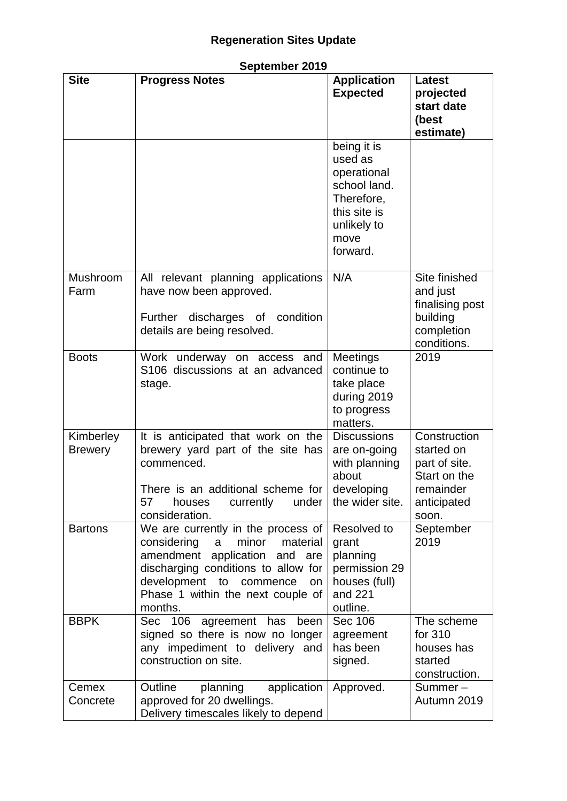| <b>Site</b>                 | <b>Progress Notes</b>                                                                                                                                                                                                                                    | <b>Application</b><br><b>Expected</b>                                                                                  | <b>Latest</b><br>projected<br>start date<br>(best<br>estimate)                                   |
|-----------------------------|----------------------------------------------------------------------------------------------------------------------------------------------------------------------------------------------------------------------------------------------------------|------------------------------------------------------------------------------------------------------------------------|--------------------------------------------------------------------------------------------------|
|                             |                                                                                                                                                                                                                                                          | being it is<br>used as<br>operational<br>school land.<br>Therefore,<br>this site is<br>unlikely to<br>move<br>forward. |                                                                                                  |
| Mushroom<br>Farm            | All relevant planning applications<br>have now been approved.<br>Further discharges of condition<br>details are being resolved.                                                                                                                          | N/A                                                                                                                    | Site finished<br>and just<br>finalising post<br>building<br>completion<br>conditions.            |
| <b>Boots</b>                | Work underway on access and<br>S106 discussions at an advanced<br>stage.                                                                                                                                                                                 | <b>Meetings</b><br>continue to<br>take place<br>during 2019<br>to progress<br>matters.                                 | 2019                                                                                             |
| Kimberley<br><b>Brewery</b> | It is anticipated that work on the<br>brewery yard part of the site has<br>commenced.<br>There is an additional scheme for<br>57<br>currently<br>under<br>houses<br>consideration.                                                                       | <b>Discussions</b><br>are on-going<br>with planning<br>about<br>developing<br>the wider site.                          | Construction<br>started on<br>part of site.<br>Start on the<br>remainder<br>anticipated<br>soon. |
| <b>Bartons</b>              | We are currently in the process of<br>considering<br>minor<br>$\mathsf{a}$<br>material<br>application and are<br>amendment<br>discharging conditions to allow for<br>development<br>to<br>commence<br>on<br>Phase 1 within the next couple of<br>months. | Resolved to<br>grant<br>planning<br>permission 29<br>houses (full)<br>and 221<br>outline.                              | September<br>2019                                                                                |
| <b>BBPK</b>                 | Sec 106 agreement has<br>been<br>signed so there is now no longer<br>any impediment to delivery and<br>construction on site.                                                                                                                             | Sec 106<br>agreement<br>has been<br>signed.                                                                            | The scheme<br>for 310<br>houses has<br>started<br>construction.                                  |
| Cemex<br>Concrete           | Outline<br>planning<br>application<br>approved for 20 dwellings.<br>Delivery timescales likely to depend                                                                                                                                                 | Approved.                                                                                                              | Summer-<br>Autumn 2019                                                                           |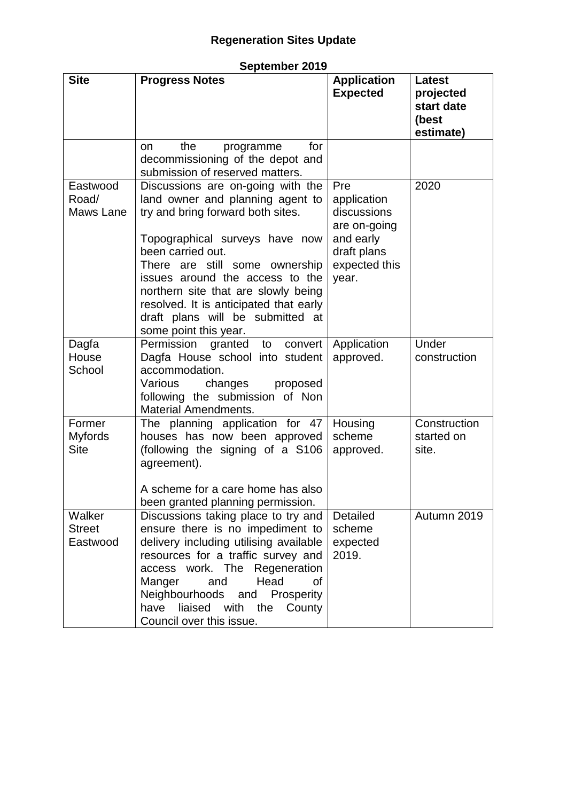### **September 2019**

| <b>Site</b>                             | <b>Progress Notes</b>                                                                                                                                                                                                                                                                                                                                                                | <b>Application</b><br><b>Expected</b>                                                                   | <b>Latest</b><br>projected<br>start date<br>(best<br>estimate) |
|-----------------------------------------|--------------------------------------------------------------------------------------------------------------------------------------------------------------------------------------------------------------------------------------------------------------------------------------------------------------------------------------------------------------------------------------|---------------------------------------------------------------------------------------------------------|----------------------------------------------------------------|
|                                         | the<br>for<br>programme<br>on<br>decommissioning of the depot and<br>submission of reserved matters.                                                                                                                                                                                                                                                                                 |                                                                                                         |                                                                |
| Eastwood<br>Road/<br>Maws Lane          | Discussions are on-going with the<br>land owner and planning agent to<br>try and bring forward both sites.<br>Topographical surveys have now<br>been carried out.<br>There are still some ownership<br>issues around the access to the<br>northern site that are slowly being<br>resolved. It is anticipated that early<br>draft plans will be submitted at<br>some point this year. | Pre<br>application<br>discussions<br>are on-going<br>and early<br>draft plans<br>expected this<br>year. | 2020                                                           |
| Dagfa<br>House<br>School                | Permission granted to<br>convert<br>Dagfa House school into student<br>accommodation.<br>Various<br>changes<br>proposed<br>following the submission of Non<br><b>Material Amendments.</b>                                                                                                                                                                                            | Application<br>approved.                                                                                | Under<br>construction                                          |
| Former<br><b>Myfords</b><br><b>Site</b> | The planning application for 47<br>houses has now been approved<br>(following the signing of a S106<br>agreement).<br>A scheme for a care home has also<br>been granted planning permission.                                                                                                                                                                                         | Housing<br>scheme<br>approved.                                                                          | Construction<br>started on<br>site.                            |
| Walker<br><b>Street</b><br>Eastwood     | Discussions taking place to try and<br>ensure there is no impediment to<br>delivery including utilising available<br>resources for a traffic survey and<br>access work. The Regeneration<br>Manger<br>Head<br>οf<br>and<br>Neighbourhoods<br>and<br>Prosperity<br>liaised with the County<br>have<br>Council over this issue.                                                        | Detailed<br>scheme<br>expected<br>2019.                                                                 | Autumn 2019                                                    |